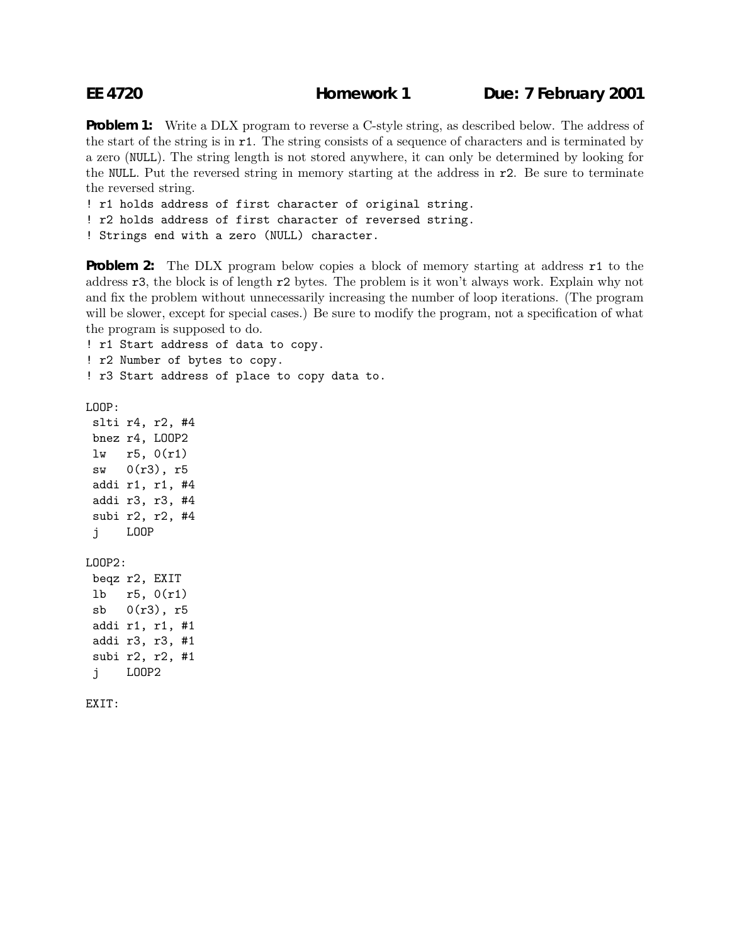**EE 4720 Homework 1 Due: 7 February 2001**

**Problem 1:** Write a DLX program to reverse a C-style string, as described below. The address of the start of the string is in r1. The string consists of a sequence of characters and is terminated by a zero (NULL). The string length is not stored anywhere, it can only be determined by looking for the NULL. Put the reversed string in memory starting at the address in r2. Be sure to terminate the reversed string.

! r1 holds address of first character of original string.

! r2 holds address of first character of reversed string.

! Strings end with a zero (NULL) character.

**Problem 2:** The DLX program below copies a block of memory starting at address **r1** to the address r3, the block is of length r2 bytes. The problem is it won't always work. Explain why not and fix the problem without unnecessarily increasing the number of loop iterations. (The program will be slower, except for special cases.) Be sure to modify the program, not a specification of what the program is supposed to do.

! r1 Start address of data to copy.

! r2 Number of bytes to copy.

! r3 Start address of place to copy data to.

LOOP:

slti r4, r2, #4 bnez r4, LOOP2 lw r5, 0(r1) sw 0(r3), r5 addi r1, r1, #4 addi r3, r3, #4 subi r2, r2, #4 j LOOP LOOP2: beqz r2, EXIT lb r5, 0(r1) sb 0(r3), r5 addi r1, r1, #1 addi r3, r3, #1 subi r2, r2, #1 j LOOP2

EXIT: